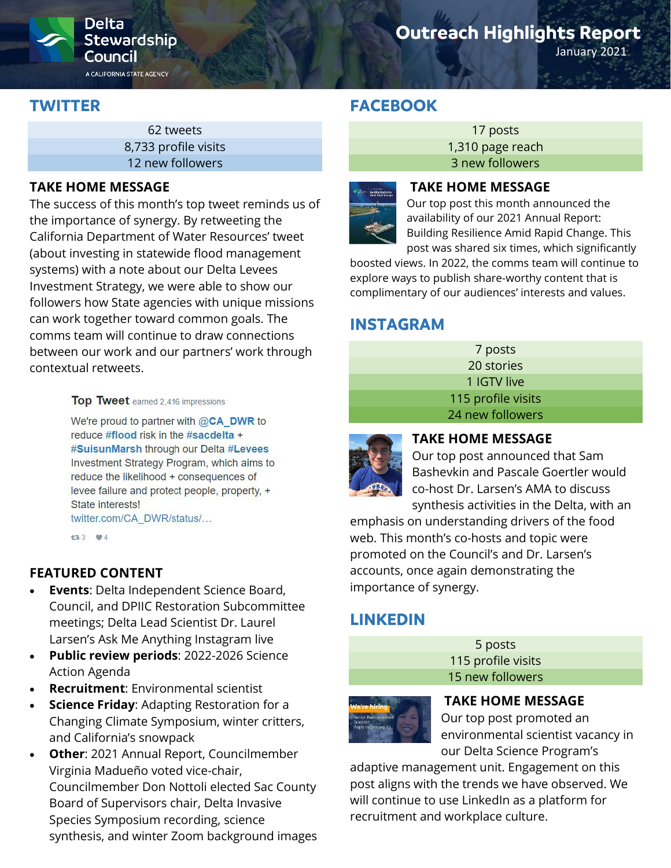

A CALIFORNIA STATE AGENCY

# **Outreach Highlights Report**

January 2021

# **TWITTER**

62 tweets 8,733 profile visits 12 new followers

## **TAKE HOME MESSAGE**

The success of this month's top tweet reminds us of the importance of synergy. By retweeting the California Department of Water Resources' tweet (about investing in statewide flood management systems) with a note about our Delta Levees Investment Strategy, we were able to show our followers how State agencies with unique missions can work together toward common goals. The comms team will continue to draw connections between our work and our partners' work through contextual retweets.

#### Top Tweet earned 2,416 impressions

We're proud to partner with  $@**CA**$  DWR to reduce #flood risk in the #sacdelta + #SuisunMarsh through our Delta #Levees Investment Strategy Program, which aims to reduce the likelihood + consequences of levee failure and protect people, property, + State interests! twitter.com/CA\_DWR/status/...

133 ₩4

## **FEATURED CONTENT**

- **Events**: Delta Independent Science Board, Council, and DPIIC Restoration Subcommittee meetings; Delta Lead Scientist Dr. Laurel Larsen's Ask Me Anything Instagram live
- **Public review periods**: 2022-2026 Science Action Agenda
- **Recruitment**: Environmental scientist
- **Science Friday**: Adapting Restoration for a Changing Climate Symposium, winter critters, and California's snowpack
- **Other**: 2021 Annual Report, Councilmember Virginia Madueño voted vice-chair, Councilmember Don Nottoli elected Sac County Board of Supervisors chair, Delta Invasive Species Symposium recording, science synthesis, and winter Zoom background images

# **FACEBOOK**

17 posts 1,310 page reach 3 new followers



#### **TAKE HOME MESSAGE**

Our top post this month announced the availability of our 2021 Annual Report: Building Resilience Amid Rapid Change. This post was shared six times, which significantly

boosted views. In 2022, the comms team will continue to explore ways to publish share-worthy content that is complimentary of our audiences' interests and values.

# **INSTAGRAM**

| 7 posts            |  |
|--------------------|--|
| 20 stories         |  |
| 1 IGTV live        |  |
| 115 profile visits |  |
| 24 new followers   |  |



### **TAKE HOME MESSAGE**

Our top post announced that Sam Bashevkin and Pascale Goertler would co-host Dr. Larsen's AMA to discuss synthesis activities in the Delta, with an

emphasis on understanding drivers of the food web. This month's co-hosts and topic were promoted on the Council's and Dr. Larsen's accounts, once again demonstrating the importance of synergy.

# **LINKEDIN**





### **TAKE HOME MESSAGE**

Our top post promoted an environmental scientist vacancy in our Delta Science Program's

adaptive management unit. Engagement on this post aligns with the trends we have observed. We will continue to use LinkedIn as a platform for recruitment and workplace culture.